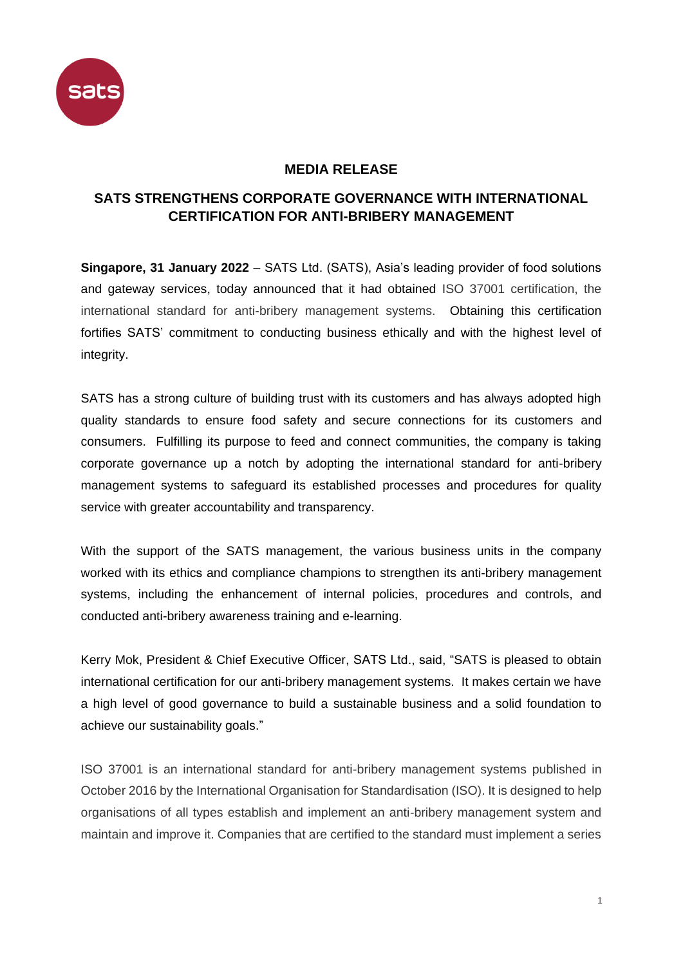

## **MEDIA RELEASE**

## **SATS STRENGTHENS CORPORATE GOVERNANCE WITH INTERNATIONAL CERTIFICATION FOR ANTI-BRIBERY MANAGEMENT**

**Singapore, 31 January 2022** *–* SATS Ltd. (SATS), Asia's leading provider of food solutions and gateway services, today announced that it had obtained ISO 37001 certification, the international standard for anti-bribery management systems. Obtaining this certification fortifies SATS' commitment to conducting business ethically and with the highest level of integrity.

SATS has a strong culture of building trust with its customers and has always adopted high quality standards to ensure food safety and secure connections for its customers and consumers. Fulfilling its purpose to feed and connect communities, the company is taking corporate governance up a notch by adopting the international standard for anti-bribery management systems to safeguard its established processes and procedures for quality service with greater accountability and transparency.

With the support of the SATS management, the various business units in the company worked with its ethics and compliance champions to strengthen its anti-bribery management systems, including the enhancement of internal policies, procedures and controls, and conducted anti-bribery awareness training and e-learning.

Kerry Mok, President & Chief Executive Officer, SATS Ltd., said, "SATS is pleased to obtain international certification for our anti-bribery management systems. It makes certain we have a high level of good governance to build a sustainable business and a solid foundation to achieve our sustainability goals."

ISO 37001 is an international standard for anti-bribery management systems published in October 2016 by the International Organisation for Standardisation (ISO). It is designed to help organisations of all types establish and implement an anti-bribery management system and maintain and improve it. Companies that are certified to the standard must implement a series